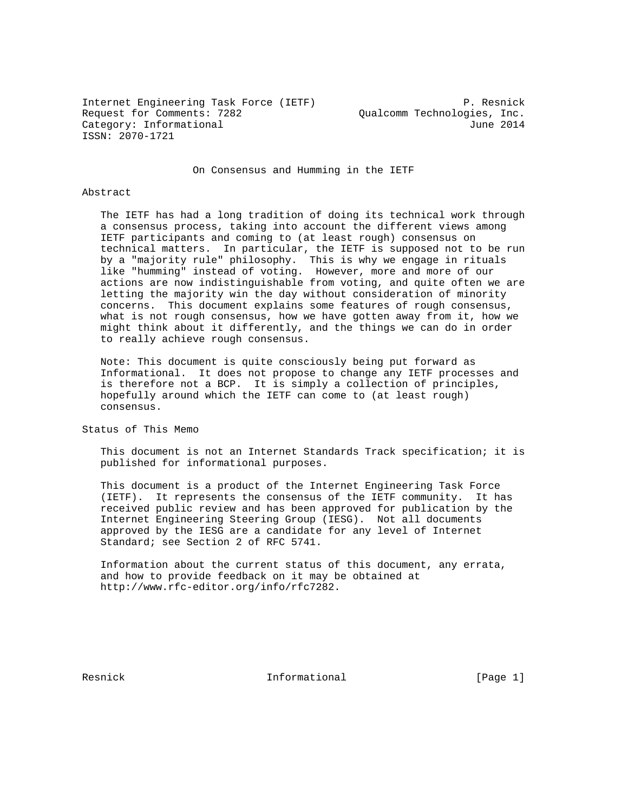Internet Engineering Task Force (IETF) P. Resnick Request for Comments: 7282 Qualcomm Technologies, Inc. Category: Informational development of the Category: Informational ISSN: 2070-1721

On Consensus and Humming in the IETF

#### Abstract

 The IETF has had a long tradition of doing its technical work through a consensus process, taking into account the different views among IETF participants and coming to (at least rough) consensus on technical matters. In particular, the IETF is supposed not to be run by a "majority rule" philosophy. This is why we engage in rituals like "humming" instead of voting. However, more and more of our actions are now indistinguishable from voting, and quite often we are letting the majority win the day without consideration of minority concerns. This document explains some features of rough consensus, what is not rough consensus, how we have gotten away from it, how we might think about it differently, and the things we can do in order to really achieve rough consensus.

 Note: This document is quite consciously being put forward as Informational. It does not propose to change any IETF processes and is therefore not a BCP. It is simply a collection of principles, hopefully around which the IETF can come to (at least rough) consensus.

Status of This Memo

 This document is not an Internet Standards Track specification; it is published for informational purposes.

 This document is a product of the Internet Engineering Task Force (IETF). It represents the consensus of the IETF community. It has received public review and has been approved for publication by the Internet Engineering Steering Group (IESG). Not all documents approved by the IESG are a candidate for any level of Internet Standard; see Section 2 of RFC 5741.

 Information about the current status of this document, any errata, and how to provide feedback on it may be obtained at http://www.rfc-editor.org/info/rfc7282.

Resnick **Informational** [Page 1]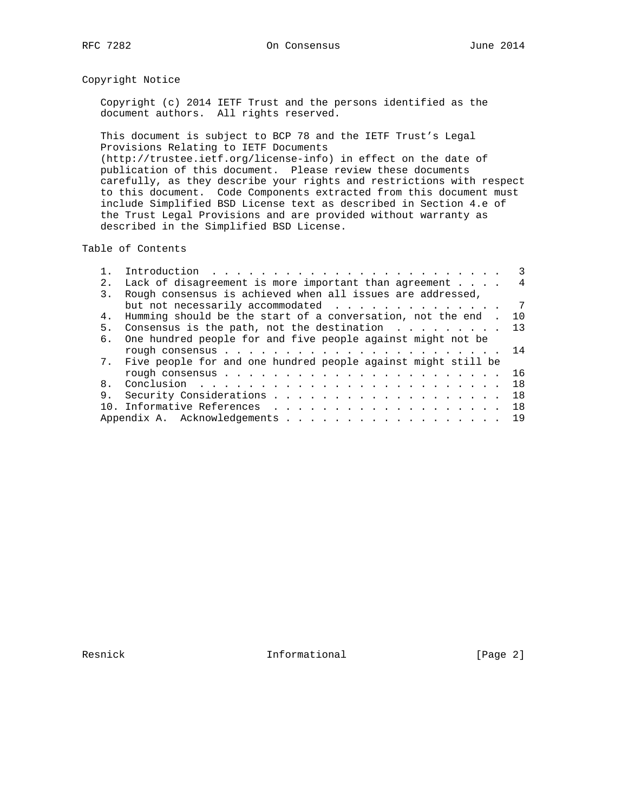# Copyright Notice

 Copyright (c) 2014 IETF Trust and the persons identified as the document authors. All rights reserved.

 This document is subject to BCP 78 and the IETF Trust's Legal Provisions Relating to IETF Documents (http://trustee.ietf.org/license-info) in effect on the date of publication of this document. Please review these documents carefully, as they describe your rights and restrictions with respect to this document. Code Components extracted from this document must include Simplified BSD License text as described in Section 4.e of the Trust Legal Provisions and are provided without warranty as described in the Simplified BSD License.

### Table of Contents

|    | Introduction $\ldots \ldots \ldots \ldots \ldots \ldots \ldots \ldots$ |                |
|----|------------------------------------------------------------------------|----------------|
| 2. | Lack of disagreement is more important than agreement                  | 4              |
| 3. | Rough consensus is achieved when all issues are addressed,             |                |
|    | but not necessarily accommodated                                       | $\overline{7}$ |
| 4. | Humming should be the start of a conversation, not the end.            | 10             |
| 5. | Consensus is the path, not the destination $\ldots$ 13                 |                |
| б. | One hundred people for and five people against might not be            |                |
|    |                                                                        |                |
|    | 7. Five people for and one hundred people against might still be       |                |
|    |                                                                        | 16             |
| 8. |                                                                        | 18             |
| 9. |                                                                        | 18             |
|    |                                                                        | 18             |
|    |                                                                        | 19             |

Resnick **Informational Informational** [Page 2]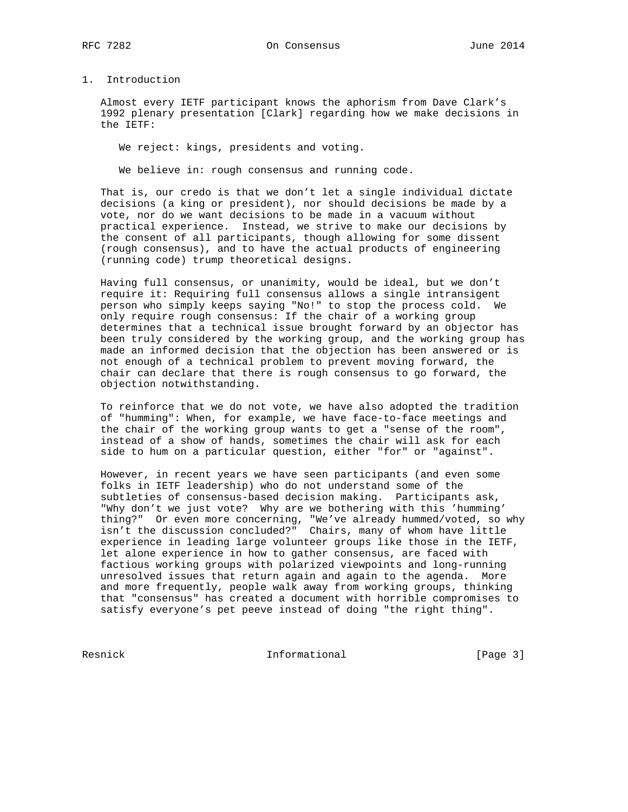## 1. Introduction

 Almost every IETF participant knows the aphorism from Dave Clark's 1992 plenary presentation [Clark] regarding how we make decisions in the IETF:

We reject: kings, presidents and voting.

We believe in: rough consensus and running code.

 That is, our credo is that we don't let a single individual dictate decisions (a king or president), nor should decisions be made by a vote, nor do we want decisions to be made in a vacuum without practical experience. Instead, we strive to make our decisions by the consent of all participants, though allowing for some dissent (rough consensus), and to have the actual products of engineering (running code) trump theoretical designs.

 Having full consensus, or unanimity, would be ideal, but we don't require it: Requiring full consensus allows a single intransigent person who simply keeps saying "No!" to stop the process cold. We only require rough consensus: If the chair of a working group determines that a technical issue brought forward by an objector has been truly considered by the working group, and the working group has made an informed decision that the objection has been answered or is not enough of a technical problem to prevent moving forward, the chair can declare that there is rough consensus to go forward, the objection notwithstanding.

 To reinforce that we do not vote, we have also adopted the tradition of "humming": When, for example, we have face-to-face meetings and the chair of the working group wants to get a "sense of the room", instead of a show of hands, sometimes the chair will ask for each side to hum on a particular question, either "for" or "against".

 However, in recent years we have seen participants (and even some folks in IETF leadership) who do not understand some of the subtleties of consensus-based decision making. Participants ask, "Why don't we just vote? Why are we bothering with this 'humming' thing?" Or even more concerning, "We've already hummed/voted, so why isn't the discussion concluded?" Chairs, many of whom have little experience in leading large volunteer groups like those in the IETF, let alone experience in how to gather consensus, are faced with factious working groups with polarized viewpoints and long-running unresolved issues that return again and again to the agenda. More and more frequently, people walk away from working groups, thinking that "consensus" has created a document with horrible compromises to satisfy everyone's pet peeve instead of doing "the right thing".

Resnick **Informational Informational** [Page 3]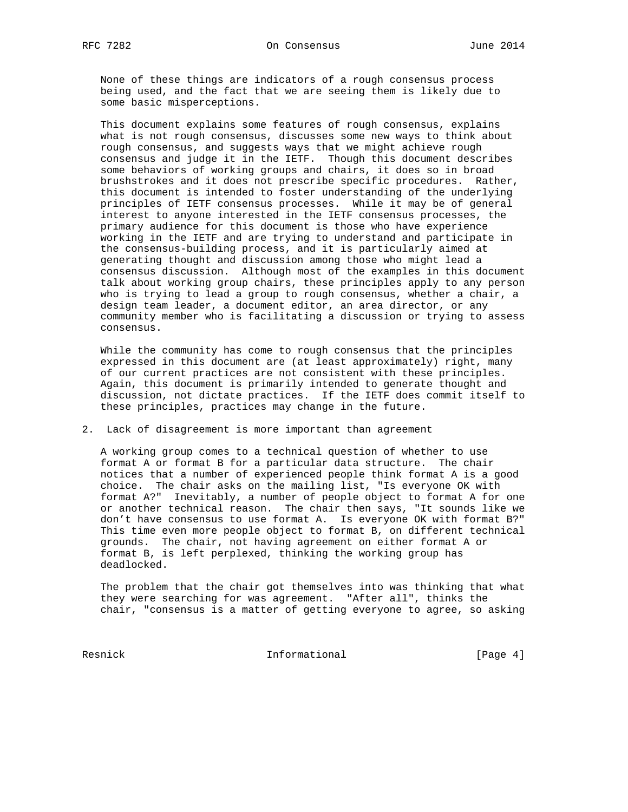being used, and the fact that we are seeing them is likely due to

consensus.

None of these things are indicators of a rough consensus process

 some basic misperceptions. This document explains some features of rough consensus, explains what is not rough consensus, discusses some new ways to think about rough consensus, and suggests ways that we might achieve rough consensus and judge it in the IETF. Though this document describes some behaviors of working groups and chairs, it does so in broad brushstrokes and it does not prescribe specific procedures. Rather, this document is intended to foster understanding of the underlying principles of IETF consensus processes. While it may be of general interest to anyone interested in the IETF consensus processes, the primary audience for this document is those who have experience working in the IETF and are trying to understand and participate in the consensus-building process, and it is particularly aimed at generating thought and discussion among those who might lead a consensus discussion. Although most of the examples in this document talk about working group chairs, these principles apply to any person who is trying to lead a group to rough consensus, whether a chair, a design team leader, a document editor, an area director, or any community member who is facilitating a discussion or trying to assess

 While the community has come to rough consensus that the principles expressed in this document are (at least approximately) right, many of our current practices are not consistent with these principles. Again, this document is primarily intended to generate thought and discussion, not dictate practices. If the IETF does commit itself to these principles, practices may change in the future.

2. Lack of disagreement is more important than agreement

 A working group comes to a technical question of whether to use format A or format B for a particular data structure. The chair notices that a number of experienced people think format A is a good choice. The chair asks on the mailing list, "Is everyone OK with format A?" Inevitably, a number of people object to format A for one or another technical reason. The chair then says, "It sounds like we don't have consensus to use format A. Is everyone OK with format B?" This time even more people object to format B, on different technical grounds. The chair, not having agreement on either format A or format B, is left perplexed, thinking the working group has deadlocked.

 The problem that the chair got themselves into was thinking that what they were searching for was agreement. "After all", thinks the chair, "consensus is a matter of getting everyone to agree, so asking

Resnick **Informational** [Page 4]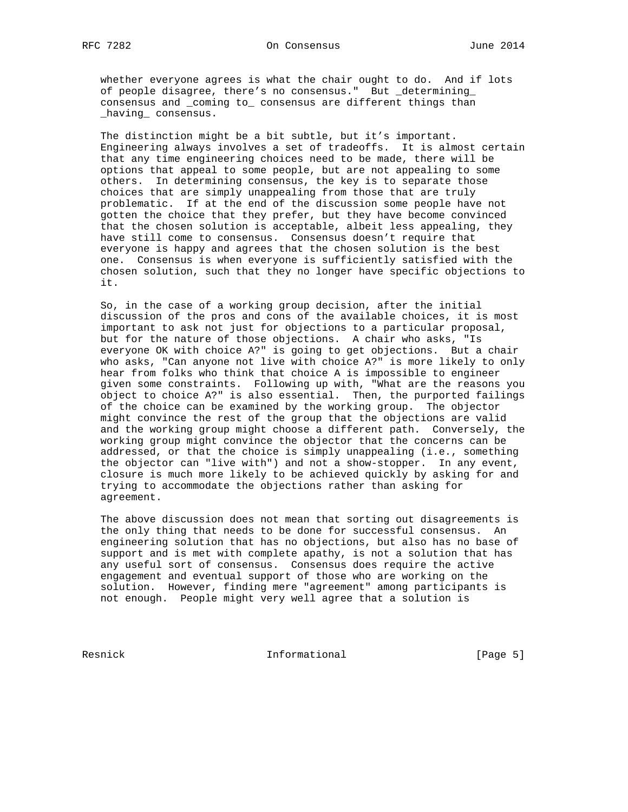whether everyone agrees is what the chair ought to do. And if lots of people disagree, there's no consensus." But \_determining\_ consensus and \_coming to\_ consensus are different things than \_having\_ consensus.

 The distinction might be a bit subtle, but it's important. Engineering always involves a set of tradeoffs. It is almost certain that any time engineering choices need to be made, there will be options that appeal to some people, but are not appealing to some others. In determining consensus, the key is to separate those choices that are simply unappealing from those that are truly problematic. If at the end of the discussion some people have not gotten the choice that they prefer, but they have become convinced that the chosen solution is acceptable, albeit less appealing, they have still come to consensus. Consensus doesn't require that everyone is happy and agrees that the chosen solution is the best one. Consensus is when everyone is sufficiently satisfied with the chosen solution, such that they no longer have specific objections to it.

 So, in the case of a working group decision, after the initial discussion of the pros and cons of the available choices, it is most important to ask not just for objections to a particular proposal, but for the nature of those objections. A chair who asks, "Is everyone OK with choice A?" is going to get objections. But a chair who asks, "Can anyone not live with choice A?" is more likely to only hear from folks who think that choice A is impossible to engineer given some constraints. Following up with, "What are the reasons you object to choice A?" is also essential. Then, the purported failings of the choice can be examined by the working group. The objector might convince the rest of the group that the objections are valid and the working group might choose a different path. Conversely, the working group might convince the objector that the concerns can be addressed, or that the choice is simply unappealing (i.e., something the objector can "live with") and not a show-stopper. In any event, closure is much more likely to be achieved quickly by asking for and trying to accommodate the objections rather than asking for agreement.

 The above discussion does not mean that sorting out disagreements is the only thing that needs to be done for successful consensus. An engineering solution that has no objections, but also has no base of support and is met with complete apathy, is not a solution that has any useful sort of consensus. Consensus does require the active engagement and eventual support of those who are working on the solution. However, finding mere "agreement" among participants is not enough. People might very well agree that a solution is

Resnick **Informational** [Page 5]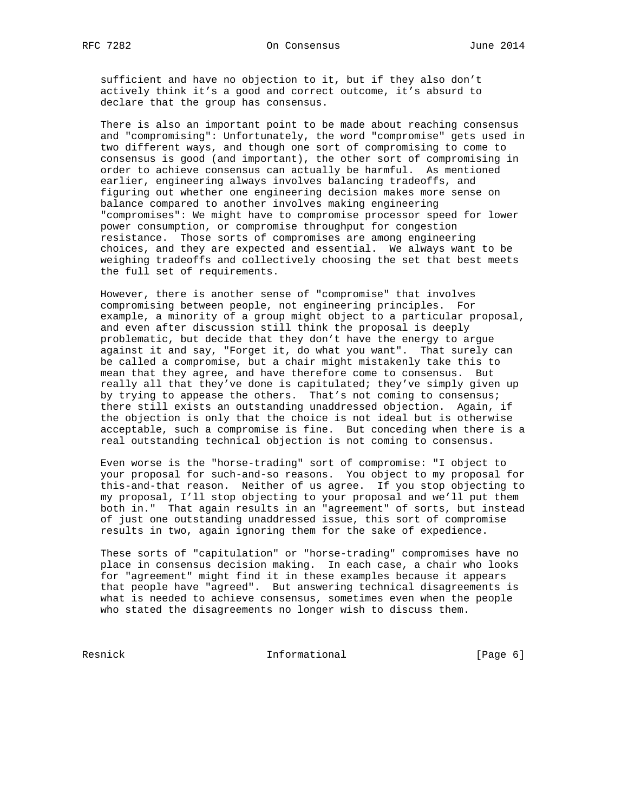sufficient and have no objection to it, but if they also don't actively think it's a good and correct outcome, it's absurd to declare that the group has consensus.

 There is also an important point to be made about reaching consensus and "compromising": Unfortunately, the word "compromise" gets used in two different ways, and though one sort of compromising to come to consensus is good (and important), the other sort of compromising in order to achieve consensus can actually be harmful. As mentioned earlier, engineering always involves balancing tradeoffs, and figuring out whether one engineering decision makes more sense on balance compared to another involves making engineering "compromises": We might have to compromise processor speed for lower power consumption, or compromise throughput for congestion resistance. Those sorts of compromises are among engineering choices, and they are expected and essential. We always want to be weighing tradeoffs and collectively choosing the set that best meets the full set of requirements.

 However, there is another sense of "compromise" that involves compromising between people, not engineering principles. For example, a minority of a group might object to a particular proposal, and even after discussion still think the proposal is deeply problematic, but decide that they don't have the energy to argue against it and say, "Forget it, do what you want". That surely can be called a compromise, but a chair might mistakenly take this to mean that they agree, and have therefore come to consensus. But really all that they've done is capitulated; they've simply given up by trying to appease the others. That's not coming to consensus; there still exists an outstanding unaddressed objection. Again, if the objection is only that the choice is not ideal but is otherwise acceptable, such a compromise is fine. But conceding when there is a real outstanding technical objection is not coming to consensus.

 Even worse is the "horse-trading" sort of compromise: "I object to your proposal for such-and-so reasons. You object to my proposal for this-and-that reason. Neither of us agree. If you stop objecting to my proposal, I'll stop objecting to your proposal and we'll put them both in." That again results in an "agreement" of sorts, but instead of just one outstanding unaddressed issue, this sort of compromise results in two, again ignoring them for the sake of expedience.

 These sorts of "capitulation" or "horse-trading" compromises have no place in consensus decision making. In each case, a chair who looks for "agreement" might find it in these examples because it appears that people have "agreed". But answering technical disagreements is what is needed to achieve consensus, sometimes even when the people who stated the disagreements no longer wish to discuss them.

Resnick **Informational** [Page 6]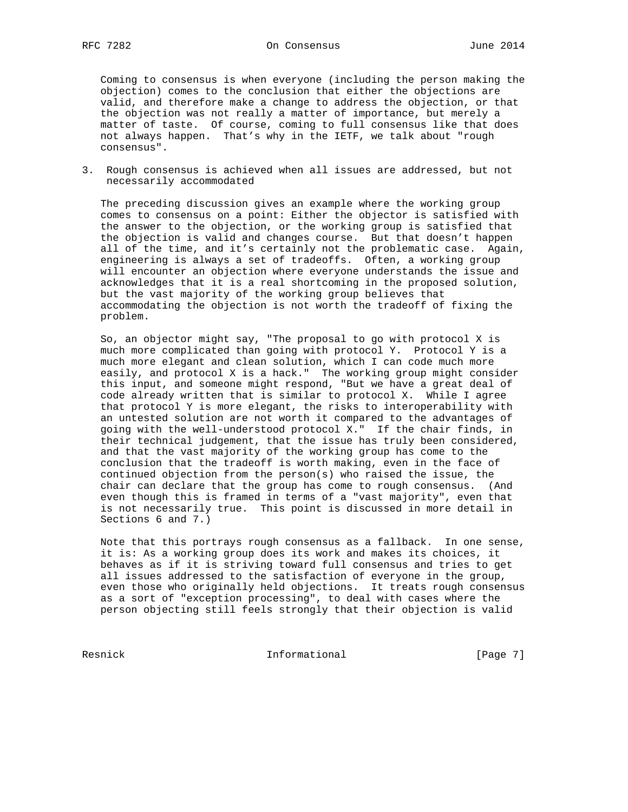Coming to consensus is when everyone (including the person making the objection) comes to the conclusion that either the objections are valid, and therefore make a change to address the objection, or that the objection was not really a matter of importance, but merely a matter of taste. Of course, coming to full consensus like that does not always happen. That's why in the IETF, we talk about "rough consensus".

3. Rough consensus is achieved when all issues are addressed, but not necessarily accommodated

 The preceding discussion gives an example where the working group comes to consensus on a point: Either the objector is satisfied with the answer to the objection, or the working group is satisfied that the objection is valid and changes course. But that doesn't happen all of the time, and it's certainly not the problematic case. Again, engineering is always a set of tradeoffs. Often, a working group will encounter an objection where everyone understands the issue and acknowledges that it is a real shortcoming in the proposed solution, but the vast majority of the working group believes that accommodating the objection is not worth the tradeoff of fixing the problem.

 So, an objector might say, "The proposal to go with protocol X is much more complicated than going with protocol Y. Protocol Y is a much more elegant and clean solution, which I can code much more easily, and protocol X is a hack." The working group might consider this input, and someone might respond, "But we have a great deal of code already written that is similar to protocol X. While I agree that protocol Y is more elegant, the risks to interoperability with an untested solution are not worth it compared to the advantages of going with the well-understood protocol X." If the chair finds, in their technical judgement, that the issue has truly been considered, and that the vast majority of the working group has come to the conclusion that the tradeoff is worth making, even in the face of continued objection from the person(s) who raised the issue, the chair can declare that the group has come to rough consensus. (And even though this is framed in terms of a "vast majority", even that is not necessarily true. This point is discussed in more detail in Sections 6 and 7.)

 Note that this portrays rough consensus as a fallback. In one sense, it is: As a working group does its work and makes its choices, it behaves as if it is striving toward full consensus and tries to get all issues addressed to the satisfaction of everyone in the group, even those who originally held objections. It treats rough consensus as a sort of "exception processing", to deal with cases where the person objecting still feels strongly that their objection is valid

Resnick **Informational** [Page 7]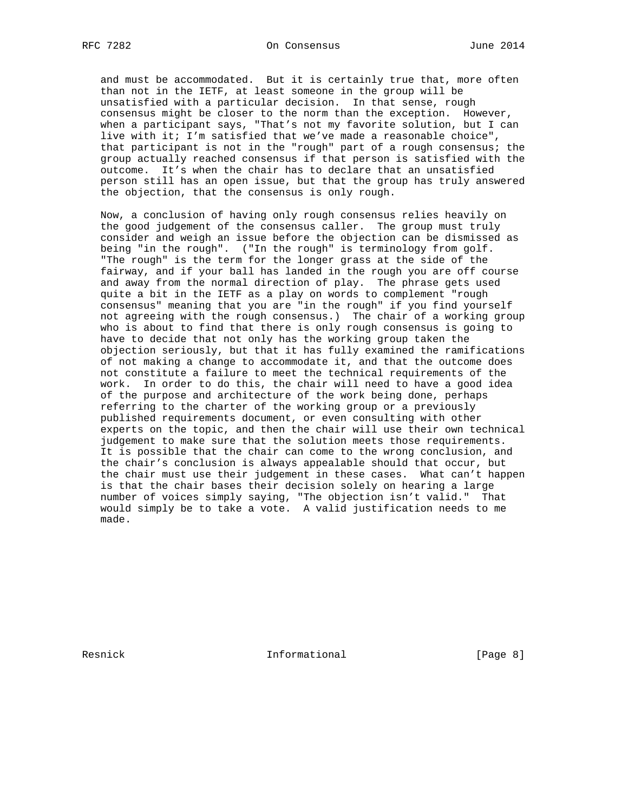and must be accommodated. But it is certainly true that, more often than not in the IETF, at least someone in the group will be unsatisfied with a particular decision. In that sense, rough consensus might be closer to the norm than the exception. However, when a participant says, "That's not my favorite solution, but I can live with it; I'm satisfied that we've made a reasonable choice", that participant is not in the "rough" part of a rough consensus; the group actually reached consensus if that person is satisfied with the outcome. It's when the chair has to declare that an unsatisfied person still has an open issue, but that the group has truly answered the objection, that the consensus is only rough.

 Now, a conclusion of having only rough consensus relies heavily on the good judgement of the consensus caller. The group must truly consider and weigh an issue before the objection can be dismissed as being "in the rough". ("In the rough" is terminology from golf. "The rough" is the term for the longer grass at the side of the fairway, and if your ball has landed in the rough you are off course and away from the normal direction of play. The phrase gets used quite a bit in the IETF as a play on words to complement "rough consensus" meaning that you are "in the rough" if you find yourself not agreeing with the rough consensus.) The chair of a working group who is about to find that there is only rough consensus is going to have to decide that not only has the working group taken the objection seriously, but that it has fully examined the ramifications of not making a change to accommodate it, and that the outcome does not constitute a failure to meet the technical requirements of the work. In order to do this, the chair will need to have a good idea of the purpose and architecture of the work being done, perhaps referring to the charter of the working group or a previously published requirements document, or even consulting with other experts on the topic, and then the chair will use their own technical judgement to make sure that the solution meets those requirements. It is possible that the chair can come to the wrong conclusion, and the chair's conclusion is always appealable should that occur, but the chair must use their judgement in these cases. What can't happen is that the chair bases their decision solely on hearing a large number of voices simply saying, "The objection isn't valid." That would simply be to take a vote. A valid justification needs to me made.

Resnick **Informational** [Page 8]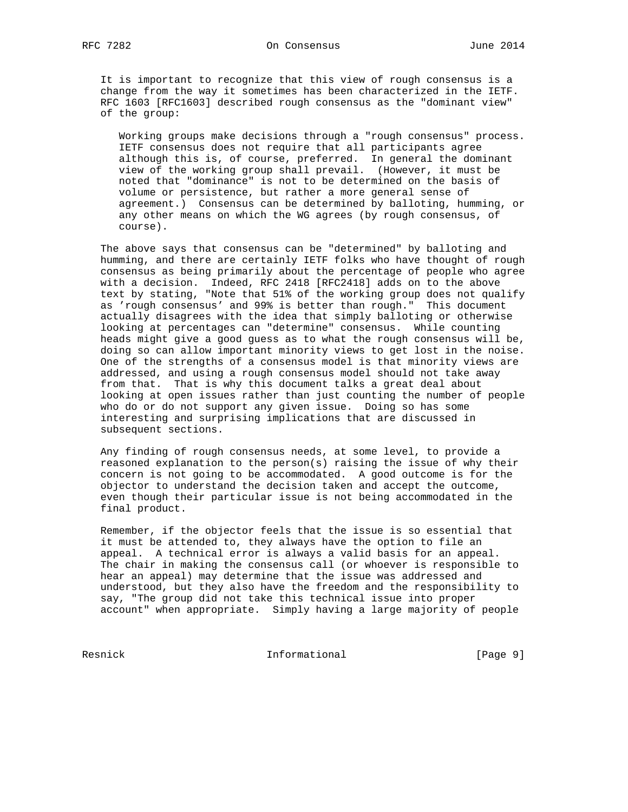It is important to recognize that this view of rough consensus is a change from the way it sometimes has been characterized in the IETF. RFC 1603 [RFC1603] described rough consensus as the "dominant view" of the group:

 Working groups make decisions through a "rough consensus" process. IETF consensus does not require that all participants agree although this is, of course, preferred. In general the dominant view of the working group shall prevail. (However, it must be noted that "dominance" is not to be determined on the basis of volume or persistence, but rather a more general sense of agreement.) Consensus can be determined by balloting, humming, or any other means on which the WG agrees (by rough consensus, of course).

 The above says that consensus can be "determined" by balloting and humming, and there are certainly IETF folks who have thought of rough consensus as being primarily about the percentage of people who agree with a decision. Indeed, RFC 2418 [RFC2418] adds on to the above text by stating, "Note that 51% of the working group does not qualify as 'rough consensus' and 99% is better than rough." This document actually disagrees with the idea that simply balloting or otherwise looking at percentages can "determine" consensus. While counting heads might give a good guess as to what the rough consensus will be, doing so can allow important minority views to get lost in the noise. One of the strengths of a consensus model is that minority views are addressed, and using a rough consensus model should not take away from that. That is why this document talks a great deal about looking at open issues rather than just counting the number of people who do or do not support any given issue. Doing so has some interesting and surprising implications that are discussed in subsequent sections.

 Any finding of rough consensus needs, at some level, to provide a reasoned explanation to the person(s) raising the issue of why their concern is not going to be accommodated. A good outcome is for the objector to understand the decision taken and accept the outcome, even though their particular issue is not being accommodated in the final product.

 Remember, if the objector feels that the issue is so essential that it must be attended to, they always have the option to file an appeal. A technical error is always a valid basis for an appeal. The chair in making the consensus call (or whoever is responsible to hear an appeal) may determine that the issue was addressed and understood, but they also have the freedom and the responsibility to say, "The group did not take this technical issue into proper account" when appropriate. Simply having a large majority of people

Resnick Informational [Page 9]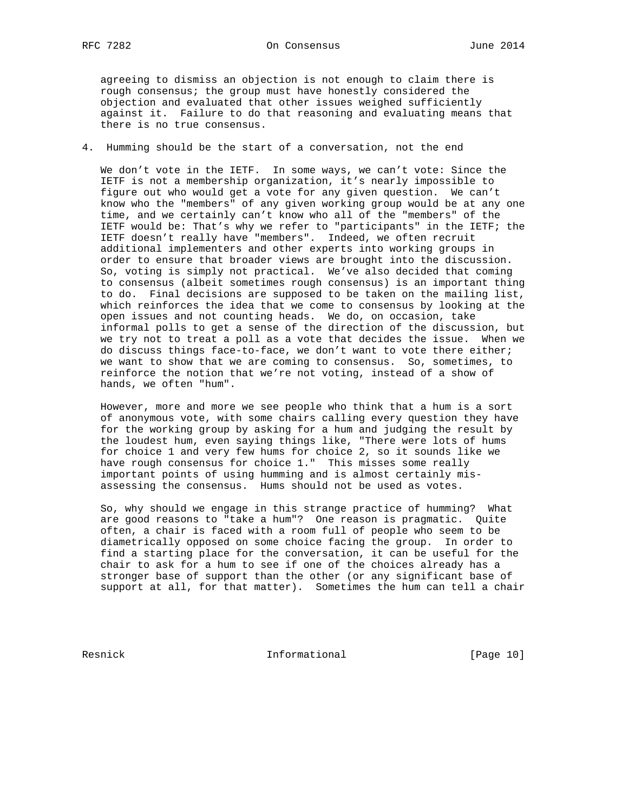agreeing to dismiss an objection is not enough to claim there is rough consensus; the group must have honestly considered the objection and evaluated that other issues weighed sufficiently against it. Failure to do that reasoning and evaluating means that there is no true consensus.

#### 4. Humming should be the start of a conversation, not the end

 We don't vote in the IETF. In some ways, we can't vote: Since the IETF is not a membership organization, it's nearly impossible to figure out who would get a vote for any given question. We can't know who the "members" of any given working group would be at any one time, and we certainly can't know who all of the "members" of the IETF would be: That's why we refer to "participants" in the IETF; the IETF doesn't really have "members". Indeed, we often recruit additional implementers and other experts into working groups in order to ensure that broader views are brought into the discussion. So, voting is simply not practical. We've also decided that coming to consensus (albeit sometimes rough consensus) is an important thing to do. Final decisions are supposed to be taken on the mailing list, which reinforces the idea that we come to consensus by looking at the open issues and not counting heads. We do, on occasion, take informal polls to get a sense of the direction of the discussion, but we try not to treat a poll as a vote that decides the issue. When we do discuss things face-to-face, we don't want to vote there either; we want to show that we are coming to consensus. So, sometimes, to reinforce the notion that we're not voting, instead of a show of hands, we often "hum".

 However, more and more we see people who think that a hum is a sort of anonymous vote, with some chairs calling every question they have for the working group by asking for a hum and judging the result by the loudest hum, even saying things like, "There were lots of hums for choice 1 and very few hums for choice 2, so it sounds like we have rough consensus for choice 1." This misses some really important points of using humming and is almost certainly mis assessing the consensus. Hums should not be used as votes.

 So, why should we engage in this strange practice of humming? What are good reasons to "take a hum"? One reason is pragmatic. Quite often, a chair is faced with a room full of people who seem to be diametrically opposed on some choice facing the group. In order to find a starting place for the conversation, it can be useful for the chair to ask for a hum to see if one of the choices already has a stronger base of support than the other (or any significant base of support at all, for that matter). Sometimes the hum can tell a chair

Resnick **Informational** [Page 10]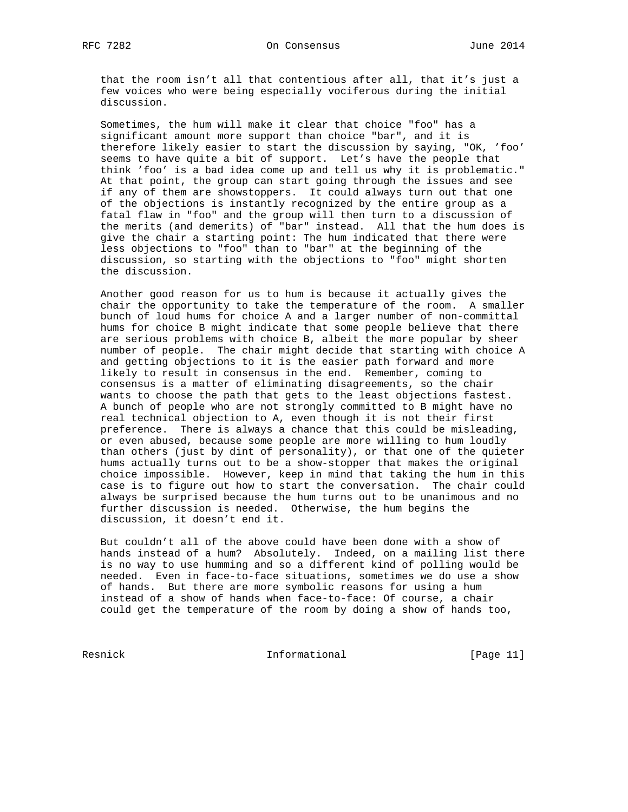that the room isn't all that contentious after all, that it's just a few voices who were being especially vociferous during the initial discussion.

 Sometimes, the hum will make it clear that choice "foo" has a significant amount more support than choice "bar", and it is therefore likely easier to start the discussion by saying, "OK, 'foo' seems to have quite a bit of support. Let's have the people that think 'foo' is a bad idea come up and tell us why it is problematic." At that point, the group can start going through the issues and see if any of them are showstoppers. It could always turn out that one of the objections is instantly recognized by the entire group as a fatal flaw in "foo" and the group will then turn to a discussion of the merits (and demerits) of "bar" instead. All that the hum does is give the chair a starting point: The hum indicated that there were less objections to "foo" than to "bar" at the beginning of the discussion, so starting with the objections to "foo" might shorten the discussion.

 Another good reason for us to hum is because it actually gives the chair the opportunity to take the temperature of the room. A smaller bunch of loud hums for choice A and a larger number of non-committal hums for choice B might indicate that some people believe that there are serious problems with choice B, albeit the more popular by sheer number of people. The chair might decide that starting with choice A and getting objections to it is the easier path forward and more likely to result in consensus in the end. Remember, coming to consensus is a matter of eliminating disagreements, so the chair wants to choose the path that gets to the least objections fastest. A bunch of people who are not strongly committed to B might have no real technical objection to A, even though it is not their first preference. There is always a chance that this could be misleading, or even abused, because some people are more willing to hum loudly than others (just by dint of personality), or that one of the quieter hums actually turns out to be a show-stopper that makes the original choice impossible. However, keep in mind that taking the hum in this case is to figure out how to start the conversation. The chair could always be surprised because the hum turns out to be unanimous and no further discussion is needed. Otherwise, the hum begins the discussion, it doesn't end it.

 But couldn't all of the above could have been done with a show of hands instead of a hum? Absolutely. Indeed, on a mailing list there is no way to use humming and so a different kind of polling would be needed. Even in face-to-face situations, sometimes we do use a show of hands. But there are more symbolic reasons for using a hum instead of a show of hands when face-to-face: Of course, a chair could get the temperature of the room by doing a show of hands too,

Resnick **Informational** [Page 11]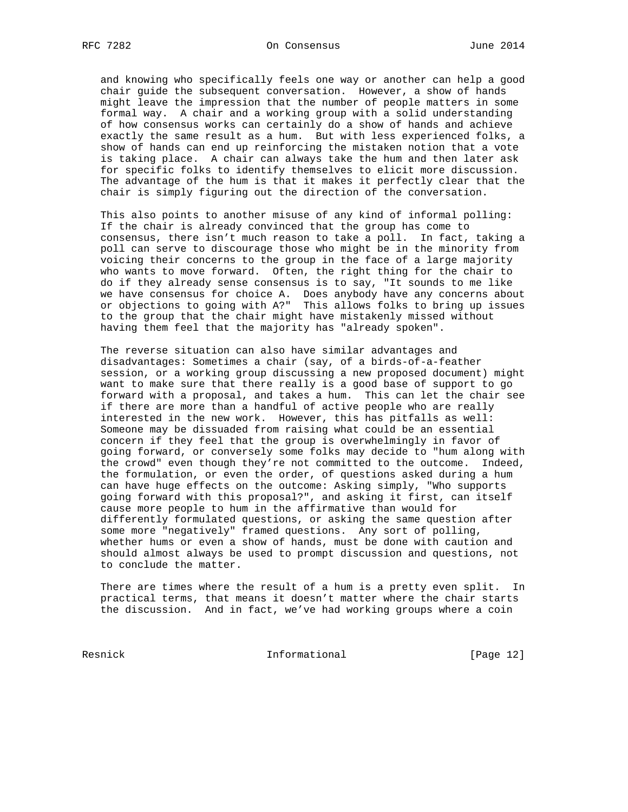and knowing who specifically feels one way or another can help a good chair guide the subsequent conversation. However, a show of hands might leave the impression that the number of people matters in some formal way. A chair and a working group with a solid understanding of how consensus works can certainly do a show of hands and achieve exactly the same result as a hum. But with less experienced folks, a show of hands can end up reinforcing the mistaken notion that a vote is taking place. A chair can always take the hum and then later ask for specific folks to identify themselves to elicit more discussion. The advantage of the hum is that it makes it perfectly clear that the chair is simply figuring out the direction of the conversation.

 This also points to another misuse of any kind of informal polling: If the chair is already convinced that the group has come to consensus, there isn't much reason to take a poll. In fact, taking a poll can serve to discourage those who might be in the minority from voicing their concerns to the group in the face of a large majority who wants to move forward. Often, the right thing for the chair to do if they already sense consensus is to say, "It sounds to me like we have consensus for choice A. Does anybody have any concerns about or objections to going with A?" This allows folks to bring up issues to the group that the chair might have mistakenly missed without having them feel that the majority has "already spoken".

 The reverse situation can also have similar advantages and disadvantages: Sometimes a chair (say, of a birds-of-a-feather session, or a working group discussing a new proposed document) might want to make sure that there really is a good base of support to go forward with a proposal, and takes a hum. This can let the chair see if there are more than a handful of active people who are really interested in the new work. However, this has pitfalls as well: Someone may be dissuaded from raising what could be an essential concern if they feel that the group is overwhelmingly in favor of going forward, or conversely some folks may decide to "hum along with the crowd" even though they're not committed to the outcome. Indeed, the formulation, or even the order, of questions asked during a hum can have huge effects on the outcome: Asking simply, "Who supports going forward with this proposal?", and asking it first, can itself cause more people to hum in the affirmative than would for differently formulated questions, or asking the same question after some more "negatively" framed questions. Any sort of polling, whether hums or even a show of hands, must be done with caution and should almost always be used to prompt discussion and questions, not to conclude the matter.

 There are times where the result of a hum is a pretty even split. In practical terms, that means it doesn't matter where the chair starts the discussion. And in fact, we've had working groups where a coin

Resnick **Informational** [Page 12]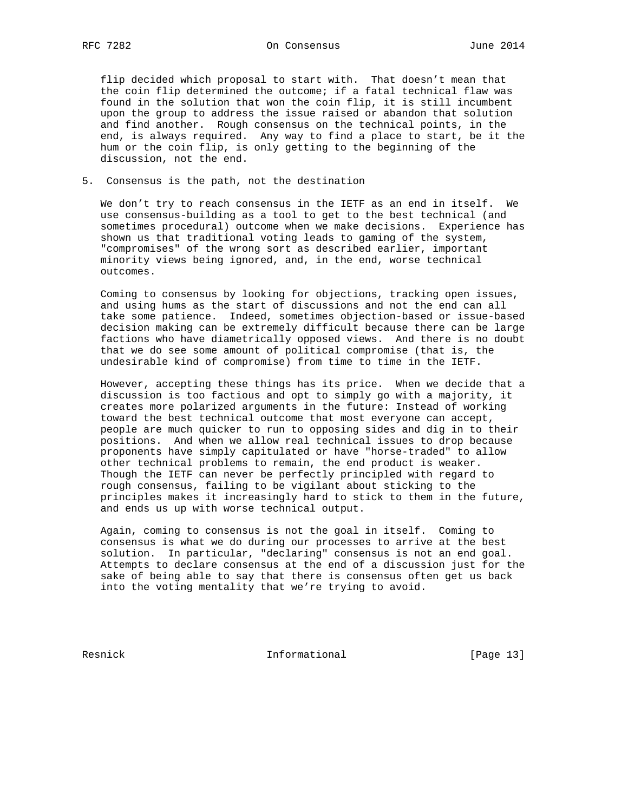flip decided which proposal to start with. That doesn't mean that the coin flip determined the outcome; if a fatal technical flaw was found in the solution that won the coin flip, it is still incumbent upon the group to address the issue raised or abandon that solution and find another. Rough consensus on the technical points, in the end, is always required. Any way to find a place to start, be it the hum or the coin flip, is only getting to the beginning of the discussion, not the end.

5. Consensus is the path, not the destination

 We don't try to reach consensus in the IETF as an end in itself. We use consensus-building as a tool to get to the best technical (and sometimes procedural) outcome when we make decisions. Experience has shown us that traditional voting leads to gaming of the system, "compromises" of the wrong sort as described earlier, important minority views being ignored, and, in the end, worse technical outcomes.

 Coming to consensus by looking for objections, tracking open issues, and using hums as the start of discussions and not the end can all take some patience. Indeed, sometimes objection-based or issue-based decision making can be extremely difficult because there can be large factions who have diametrically opposed views. And there is no doubt that we do see some amount of political compromise (that is, the undesirable kind of compromise) from time to time in the IETF.

 However, accepting these things has its price. When we decide that a discussion is too factious and opt to simply go with a majority, it creates more polarized arguments in the future: Instead of working toward the best technical outcome that most everyone can accept, people are much quicker to run to opposing sides and dig in to their positions. And when we allow real technical issues to drop because proponents have simply capitulated or have "horse-traded" to allow other technical problems to remain, the end product is weaker. Though the IETF can never be perfectly principled with regard to rough consensus, failing to be vigilant about sticking to the principles makes it increasingly hard to stick to them in the future, and ends us up with worse technical output.

 Again, coming to consensus is not the goal in itself. Coming to consensus is what we do during our processes to arrive at the best solution. In particular, "declaring" consensus is not an end goal. Attempts to declare consensus at the end of a discussion just for the sake of being able to say that there is consensus often get us back into the voting mentality that we're trying to avoid.

Resnick **Informational** [Page 13]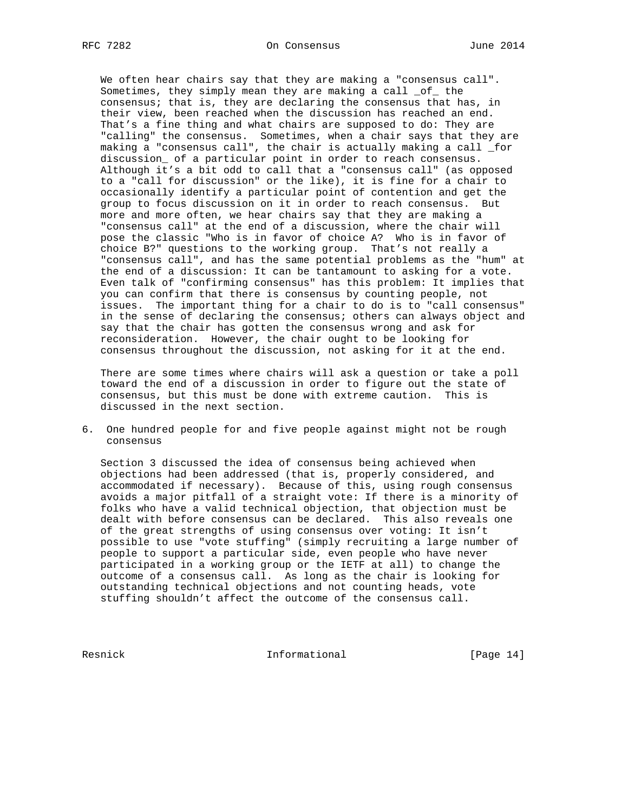We often hear chairs say that they are making a "consensus call". Sometimes, they simply mean they are making a call \_of\_ the consensus; that is, they are declaring the consensus that has, in their view, been reached when the discussion has reached an end. That's a fine thing and what chairs are supposed to do: They are "calling" the consensus. Sometimes, when a chair says that they are making a "consensus call", the chair is actually making a call \_for discussion\_ of a particular point in order to reach consensus. Although it's a bit odd to call that a "consensus call" (as opposed to a "call for discussion" or the like), it is fine for a chair to occasionally identify a particular point of contention and get the group to focus discussion on it in order to reach consensus. But more and more often, we hear chairs say that they are making a "consensus call" at the end of a discussion, where the chair will pose the classic "Who is in favor of choice A? Who is in favor of choice B?" questions to the working group. That's not really a "consensus call", and has the same potential problems as the "hum" at the end of a discussion: It can be tantamount to asking for a vote. Even talk of "confirming consensus" has this problem: It implies that you can confirm that there is consensus by counting people, not issues. The important thing for a chair to do is to "call consensus" in the sense of declaring the consensus; others can always object and say that the chair has gotten the consensus wrong and ask for reconsideration. However, the chair ought to be looking for consensus throughout the discussion, not asking for it at the end.

 There are some times where chairs will ask a question or take a poll toward the end of a discussion in order to figure out the state of consensus, but this must be done with extreme caution. This is discussed in the next section.

6. One hundred people for and five people against might not be rough consensus

 Section 3 discussed the idea of consensus being achieved when objections had been addressed (that is, properly considered, and accommodated if necessary). Because of this, using rough consensus avoids a major pitfall of a straight vote: If there is a minority of folks who have a valid technical objection, that objection must be dealt with before consensus can be declared. This also reveals one of the great strengths of using consensus over voting: It isn't possible to use "vote stuffing" (simply recruiting a large number of people to support a particular side, even people who have never participated in a working group or the IETF at all) to change the outcome of a consensus call. As long as the chair is looking for outstanding technical objections and not counting heads, vote stuffing shouldn't affect the outcome of the consensus call.

Resnick **Informational** [Page 14]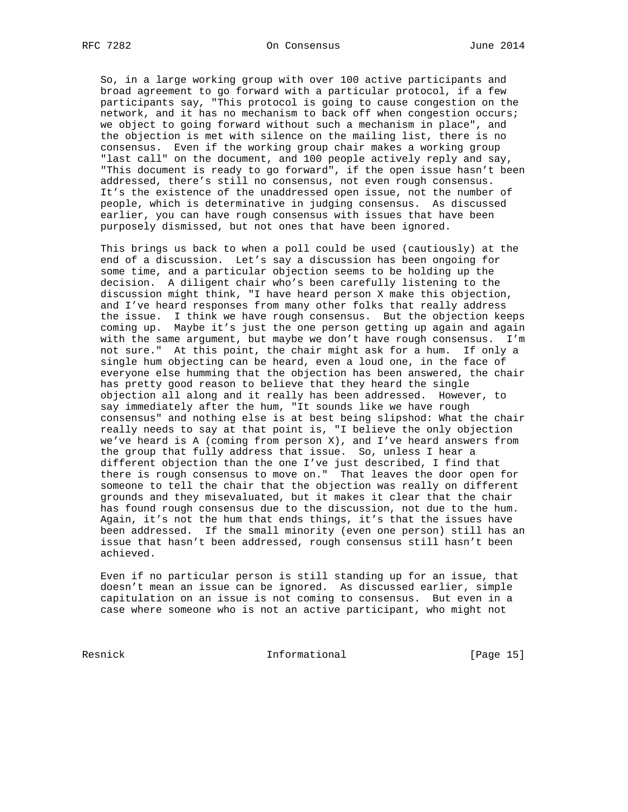So, in a large working group with over 100 active participants and broad agreement to go forward with a particular protocol, if a few participants say, "This protocol is going to cause congestion on the network, and it has no mechanism to back off when congestion occurs; we object to going forward without such a mechanism in place", and the objection is met with silence on the mailing list, there is no consensus. Even if the working group chair makes a working group "last call" on the document, and 100 people actively reply and say, "This document is ready to go forward", if the open issue hasn't been addressed, there's still no consensus, not even rough consensus. It's the existence of the unaddressed open issue, not the number of people, which is determinative in judging consensus. As discussed earlier, you can have rough consensus with issues that have been purposely dismissed, but not ones that have been ignored.

 This brings us back to when a poll could be used (cautiously) at the end of a discussion. Let's say a discussion has been ongoing for some time, and a particular objection seems to be holding up the decision. A diligent chair who's been carefully listening to the discussion might think, "I have heard person X make this objection, and I've heard responses from many other folks that really address the issue. I think we have rough consensus. But the objection keeps coming up. Maybe it's just the one person getting up again and again with the same argument, but maybe we don't have rough consensus. I'm not sure." At this point, the chair might ask for a hum. If only a single hum objecting can be heard, even a loud one, in the face of everyone else humming that the objection has been answered, the chair has pretty good reason to believe that they heard the single objection all along and it really has been addressed. However, to say immediately after the hum, "It sounds like we have rough consensus" and nothing else is at best being slipshod: What the chair really needs to say at that point is, "I believe the only objection we've heard is A (coming from person  $X$ ), and I've heard answers from the group that fully address that issue. So, unless I hear a different objection than the one I've just described, I find that there is rough consensus to move on." That leaves the door open for someone to tell the chair that the objection was really on different grounds and they misevaluated, but it makes it clear that the chair has found rough consensus due to the discussion, not due to the hum. Again, it's not the hum that ends things, it's that the issues have been addressed. If the small minority (even one person) still has an issue that hasn't been addressed, rough consensus still hasn't been achieved.

 Even if no particular person is still standing up for an issue, that doesn't mean an issue can be ignored. As discussed earlier, simple capitulation on an issue is not coming to consensus. But even in a case where someone who is not an active participant, who might not

Resnick **Informational** [Page 15]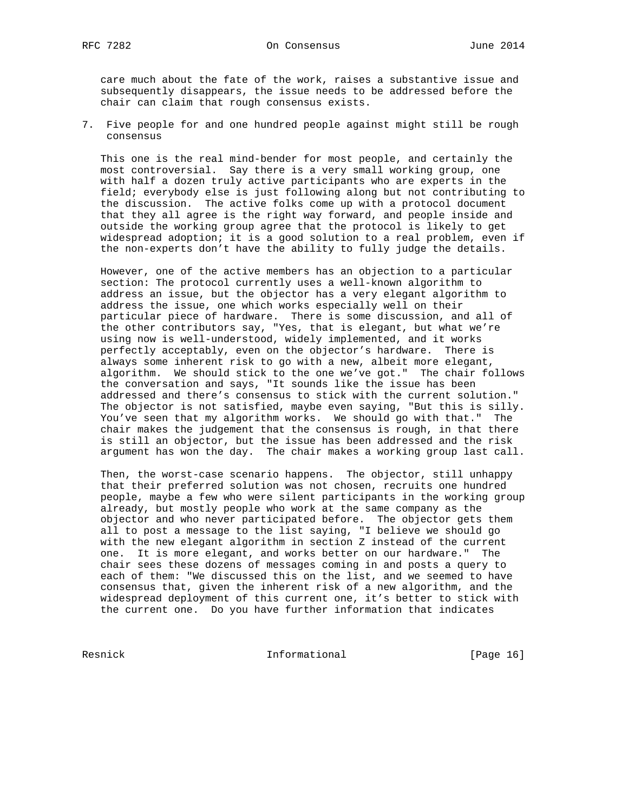care much about the fate of the work, raises a substantive issue and subsequently disappears, the issue needs to be addressed before the chair can claim that rough consensus exists.

7. Five people for and one hundred people against might still be rough consensus

 This one is the real mind-bender for most people, and certainly the most controversial. Say there is a very small working group, one with half a dozen truly active participants who are experts in the field; everybody else is just following along but not contributing to the discussion. The active folks come up with a protocol document that they all agree is the right way forward, and people inside and outside the working group agree that the protocol is likely to get widespread adoption; it is a good solution to a real problem, even if the non-experts don't have the ability to fully judge the details.

 However, one of the active members has an objection to a particular section: The protocol currently uses a well-known algorithm to address an issue, but the objector has a very elegant algorithm to address the issue, one which works especially well on their particular piece of hardware. There is some discussion, and all of the other contributors say, "Yes, that is elegant, but what we're using now is well-understood, widely implemented, and it works perfectly acceptably, even on the objector's hardware. There is always some inherent risk to go with a new, albeit more elegant, algorithm. We should stick to the one we've got." The chair follows the conversation and says, "It sounds like the issue has been addressed and there's consensus to stick with the current solution." The objector is not satisfied, maybe even saying, "But this is silly. You've seen that my algorithm works. We should go with that." The chair makes the judgement that the consensus is rough, in that there is still an objector, but the issue has been addressed and the risk argument has won the day. The chair makes a working group last call.

 Then, the worst-case scenario happens. The objector, still unhappy that their preferred solution was not chosen, recruits one hundred people, maybe a few who were silent participants in the working group already, but mostly people who work at the same company as the objector and who never participated before. The objector gets them all to post a message to the list saying, "I believe we should go with the new elegant algorithm in section Z instead of the current one. It is more elegant, and works better on our hardware." The chair sees these dozens of messages coming in and posts a query to each of them: "We discussed this on the list, and we seemed to have consensus that, given the inherent risk of a new algorithm, and the widespread deployment of this current one, it's better to stick with the current one. Do you have further information that indicates

Resnick **Informational** [Page 16]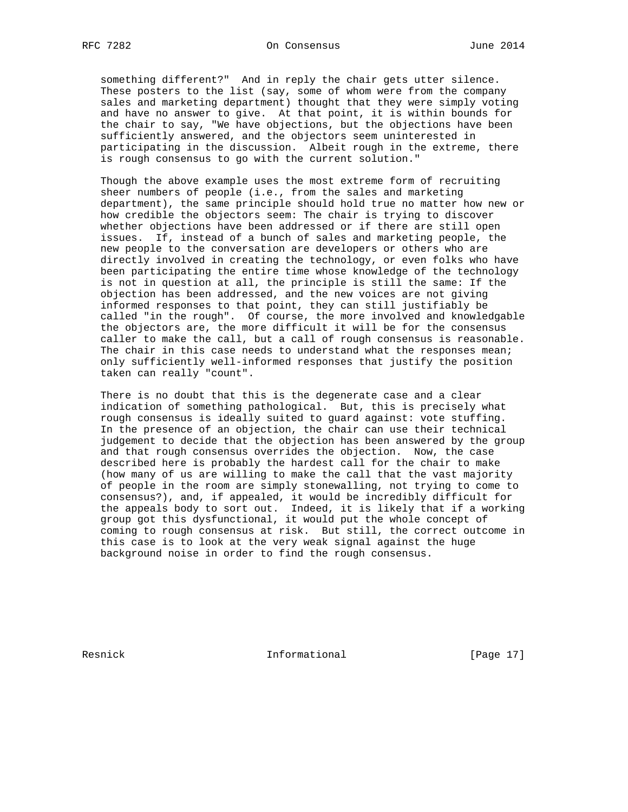something different?" And in reply the chair gets utter silence. These posters to the list (say, some of whom were from the company sales and marketing department) thought that they were simply voting and have no answer to give. At that point, it is within bounds for the chair to say, "We have objections, but the objections have been sufficiently answered, and the objectors seem uninterested in participating in the discussion. Albeit rough in the extreme, there is rough consensus to go with the current solution."

 Though the above example uses the most extreme form of recruiting sheer numbers of people (i.e., from the sales and marketing department), the same principle should hold true no matter how new or how credible the objectors seem: The chair is trying to discover whether objections have been addressed or if there are still open issues. If, instead of a bunch of sales and marketing people, the new people to the conversation are developers or others who are directly involved in creating the technology, or even folks who have been participating the entire time whose knowledge of the technology is not in question at all, the principle is still the same: If the objection has been addressed, and the new voices are not giving informed responses to that point, they can still justifiably be called "in the rough". Of course, the more involved and knowledgable the objectors are, the more difficult it will be for the consensus caller to make the call, but a call of rough consensus is reasonable. The chair in this case needs to understand what the responses mean; only sufficiently well-informed responses that justify the position taken can really "count".

 There is no doubt that this is the degenerate case and a clear indication of something pathological. But, this is precisely what rough consensus is ideally suited to guard against: vote stuffing. In the presence of an objection, the chair can use their technical judgement to decide that the objection has been answered by the group and that rough consensus overrides the objection. Now, the case described here is probably the hardest call for the chair to make (how many of us are willing to make the call that the vast majority of people in the room are simply stonewalling, not trying to come to consensus?), and, if appealed, it would be incredibly difficult for the appeals body to sort out. Indeed, it is likely that if a working group got this dysfunctional, it would put the whole concept of coming to rough consensus at risk. But still, the correct outcome in this case is to look at the very weak signal against the huge background noise in order to find the rough consensus.

Resnick **Informational** [Page 17]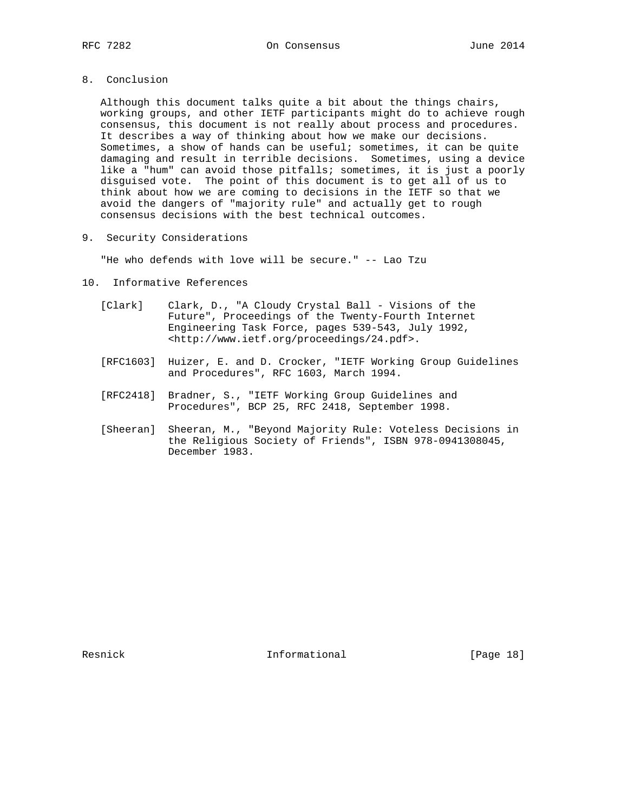Although this document talks quite a bit about the things chairs, working groups, and other IETF participants might do to achieve rough consensus, this document is not really about process and procedures. It describes a way of thinking about how we make our decisions. Sometimes, a show of hands can be useful; sometimes, it can be quite damaging and result in terrible decisions. Sometimes, using a device like a "hum" can avoid those pitfalls; sometimes, it is just a poorly disguised vote. The point of this document is to get all of us to think about how we are coming to decisions in the IETF so that we avoid the dangers of "majority rule" and actually get to rough consensus decisions with the best technical outcomes.

9. Security Considerations

"He who defends with love will be secure." -- Lao Tzu

- 10. Informative References
	- [Clark] Clark, D., "A Cloudy Crystal Ball Visions of the Future", Proceedings of the Twenty-Fourth Internet Engineering Task Force, pages 539-543, July 1992, <http://www.ietf.org/proceedings/24.pdf>.
	- [RFC1603] Huizer, E. and D. Crocker, "IETF Working Group Guidelines and Procedures", RFC 1603, March 1994.
	- [RFC2418] Bradner, S., "IETF Working Group Guidelines and Procedures", BCP 25, RFC 2418, September 1998.
	- [Sheeran] Sheeran, M., "Beyond Majority Rule: Voteless Decisions in the Religious Society of Friends", ISBN 978-0941308045, December 1983.

Resnick **Informational** [Page 18]